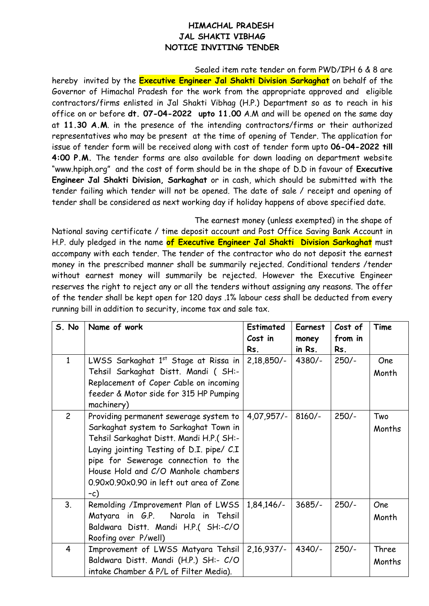## **HIMACHAL PRADESH JAL SHAKTI VIBHAG NOTICE INVITING TENDER**

Sealed item rate tender on form PWD/IPH 6 & 8 are hereby invited by the **Executive Engineer Jal Shakti Division Sarkaghat** on behalf of the Governor of Himachal Pradesh for the work from the appropriate approved and eligible contractors/firms enlisted in Jal Shakti Vibhag (H.P.) Department so as to reach in his office on or before **dt. 07-04-2022 upto 11.00** A.M and will be opened on the same day at **11.30 A.M**. in the presence of the intending contractors/firms or their authorized representatives who may be present at the time of opening of Tender. The application for issue of tender form will be received along with cost of tender form upto **06-04-2022 till 4:00 P.M.** The tender forms are also available for down loading on department website "www.hpiph.org" and the cost of form should be in the shape of D.D in favour of **Executive Engineer Jal Shakti Division, Sarkaghat** or in cash, which should be submitted with the tender failing which tender will not be opened. The date of sale / receipt and opening of tender shall be considered as next working day if holiday happens of above specified date.

The earnest money (unless exempted) in the shape of

National saving certificate / time deposit account and Post Office Saving Bank Account in H.P. duly pledged in the name **of Executive Engineer Jal Shakti Division Sarkaghat** must accompany with each tender. The tender of the contractor who do not deposit the earnest money in the prescribed manner shall be summarily rejected. Conditional tenders /tender without earnest money will summarily be rejected. However the Executive Engineer reserves the right to reject any or all the tenders without assigning any reasons. The offer of the tender shall be kept open for 120 days .1% labour cess shall be deducted from every running bill in addition to security, income tax and sale tax.

| S. No          | Name of work                                                                                                                                                                                                                                                                                               | <b>Estimated</b><br>Cost in<br>Rs. | Earnest<br>money<br>in Rs. | Cost of<br>from in<br>Rs. | Time            |
|----------------|------------------------------------------------------------------------------------------------------------------------------------------------------------------------------------------------------------------------------------------------------------------------------------------------------------|------------------------------------|----------------------------|---------------------------|-----------------|
| $\mathbf{1}$   | LWSS Sarkaghat 1st Stage at Rissa in<br>Tehsil Sarkaghat Distt. Mandi ( SH:-<br>Replacement of Coper Cable on incoming<br>feeder & Motor side for 315 HP Pumping<br>machinery)                                                                                                                             | $2,18,850/-$                       | $4380/-$                   | $250/-$                   | One<br>Month    |
| $\overline{c}$ | Providing permanent sewerage system to<br>Sarkaghat system to Sarkaghat Town in<br>Tehsil Sarkaghat Distt. Mandi H.P.( SH:-<br>Laying jointing Testing of D.I. pipe/ C.I<br>pipe for Sewerage connection to the<br>House Hold and C/O Manhole chambers<br>0.90x0.90x0.90 in left out area of Zone<br>$-c)$ | 4,07,957/-                         | $8160/-$                   | $250/-$                   | Two<br>Months   |
| 3 <sub>1</sub> | Remolding /Improvement Plan of LWSS<br>Matyara in G.P.<br>Narola in Tehsil<br>Baldwara Distt. Mandi H.P.( SH:-C/O<br>Roofing over P/well)                                                                                                                                                                  | $1,84,146/-$                       | $3685/-$                   | $250/-$                   | One<br>Month    |
| $\overline{4}$ | Improvement of LWSS Matyara Tehsil<br>Baldwara Distt. Mandi (H.P.) SH:- C/O<br>intake Chamber & P/L of Filter Media).                                                                                                                                                                                      | $2,16,937/-$                       | $4340/-$                   | $250/-$                   | Three<br>Months |